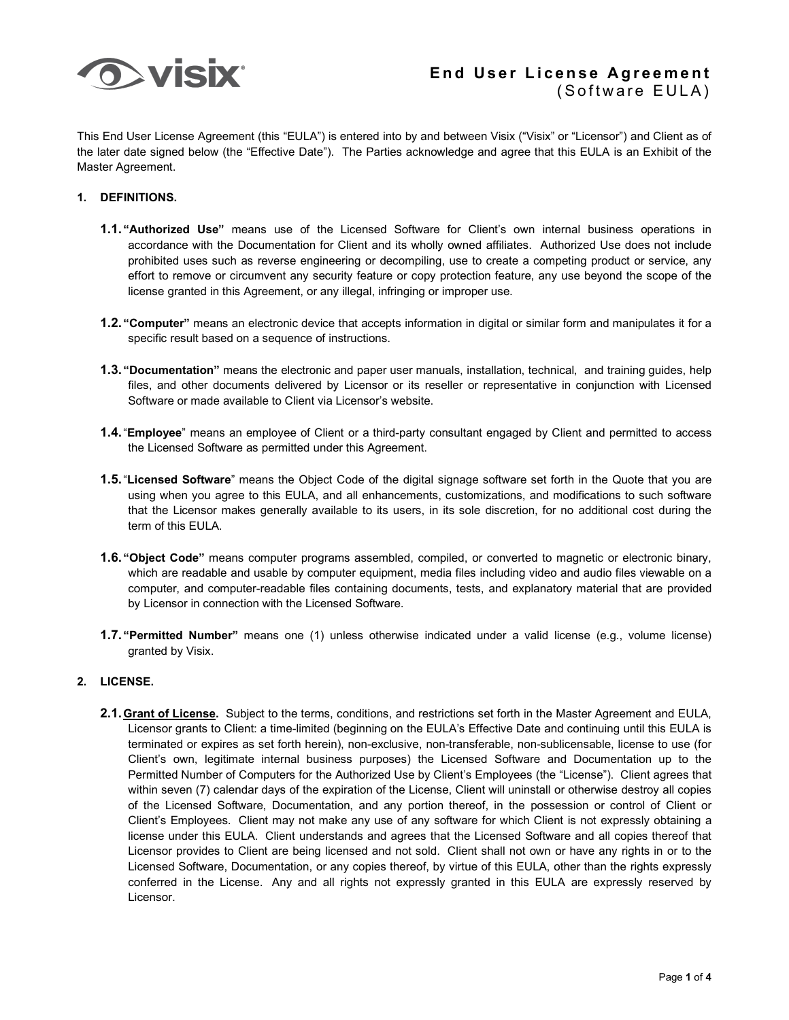

This End User License Agreement (this "EULA") is entered into by and between Visix ("Visix" or "Licensor") and Client as of the later date signed below (the "Effective Date"). The Parties acknowledge and agree that this EULA is an Exhibit of the Master Agreement.

#### **1. DEFINITIONS.**

- **1.1. "Authorized Use"** means use of the Licensed Software for Client's own internal business operations in accordance with the Documentation for Client and its wholly owned affiliates. Authorized Use does not include prohibited uses such as reverse engineering or decompiling, use to create a competing product or service, any effort to remove or circumvent any security feature or copy protection feature, any use beyond the scope of the license granted in this Agreement, or any illegal, infringing or improper use.
- **1.2. "Computer"** means an electronic device that accepts information in digital or similar form and manipulates it for a specific result based on a sequence of instructions.
- **1.3. "Documentation"** means the electronic and paper user manuals, installation, technical, and training guides, help files, and other documents delivered by Licensor or its reseller or representative in conjunction with Licensed Software or made available to Client via Licensor's website.
- **1.4.**"**Employee**" means an employee of Client or a third-party consultant engaged by Client and permitted to access the Licensed Software as permitted under this Agreement.
- **1.5.**"**Licensed Software**" means the Object Code of the digital signage software set forth in the Quote that you are using when you agree to this EULA, and all enhancements, customizations, and modifications to such software that the Licensor makes generally available to its users, in its sole discretion, for no additional cost during the term of this EULA.
- **1.6. "Object Code"** means computer programs assembled, compiled, or converted to magnetic or electronic binary, which are readable and usable by computer equipment, media files including video and audio files viewable on a computer, and computer-readable files containing documents, tests, and explanatory material that are provided by Licensor in connection with the Licensed Software.
- **1.7. "Permitted Number"** means one (1) unless otherwise indicated under a valid license (e.g., volume license) granted by Visix.

## **2. LICENSE.**

**2.1.Grant of License.** Subject to the terms, conditions, and restrictions set forth in the Master Agreement and EULA, Licensor grants to Client: a time-limited (beginning on the EULA's Effective Date and continuing until this EULA is terminated or expires as set forth herein), non-exclusive, non-transferable, non-sublicensable, license to use (for Client's own, legitimate internal business purposes) the Licensed Software and Documentation up to the Permitted Number of Computers for the Authorized Use by Client's Employees (the "License"). Client agrees that within seven (7) calendar days of the expiration of the License, Client will uninstall or otherwise destroy all copies of the Licensed Software, Documentation, and any portion thereof, in the possession or control of Client or Client's Employees. Client may not make any use of any software for which Client is not expressly obtaining a license under this EULA. Client understands and agrees that the Licensed Software and all copies thereof that Licensor provides to Client are being licensed and not sold. Client shall not own or have any rights in or to the Licensed Software, Documentation, or any copies thereof, by virtue of this EULA, other than the rights expressly conferred in the License. Any and all rights not expressly granted in this EULA are expressly reserved by Licensor.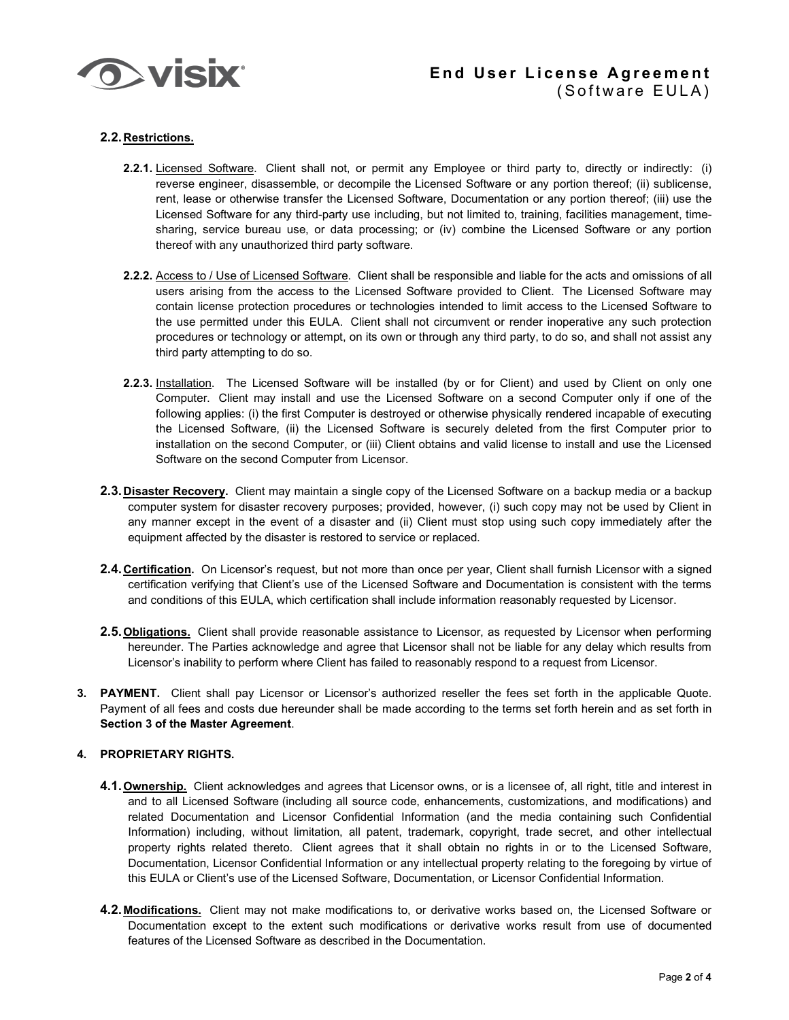

## **2.2.Restrictions.**

- **2.2.1.** Licensed Software. Client shall not, or permit any Employee or third party to, directly or indirectly: (i) reverse engineer, disassemble, or decompile the Licensed Software or any portion thereof; (ii) sublicense, rent, lease or otherwise transfer the Licensed Software, Documentation or any portion thereof; (iii) use the Licensed Software for any third-party use including, but not limited to, training, facilities management, timesharing, service bureau use, or data processing; or (iv) combine the Licensed Software or any portion thereof with any unauthorized third party software.
- **2.2.2.** Access to / Use of Licensed Software. Client shall be responsible and liable for the acts and omissions of all users arising from the access to the Licensed Software provided to Client. The Licensed Software may contain license protection procedures or technologies intended to limit access to the Licensed Software to the use permitted under this EULA. Client shall not circumvent or render inoperative any such protection procedures or technology or attempt, on its own or through any third party, to do so, and shall not assist any third party attempting to do so.
- **2.2.3.** Installation. The Licensed Software will be installed (by or for Client) and used by Client on only one Computer. Client may install and use the Licensed Software on a second Computer only if one of the following applies: (i) the first Computer is destroyed or otherwise physically rendered incapable of executing the Licensed Software, (ii) the Licensed Software is securely deleted from the first Computer prior to installation on the second Computer, or (iii) Client obtains and valid license to install and use the Licensed Software on the second Computer from Licensor.
- **2.3.Disaster Recovery.** Client may maintain a single copy of the Licensed Software on a backup media or a backup computer system for disaster recovery purposes; provided, however, (i) such copy may not be used by Client in any manner except in the event of a disaster and (ii) Client must stop using such copy immediately after the equipment affected by the disaster is restored to service or replaced.
- **2.4.Certification.** On Licensor's request, but not more than once per year, Client shall furnish Licensor with a signed certification verifying that Client's use of the Licensed Software and Documentation is consistent with the terms and conditions of this EULA, which certification shall include information reasonably requested by Licensor.
- **2.5.Obligations.** Client shall provide reasonable assistance to Licensor, as requested by Licensor when performing hereunder. The Parties acknowledge and agree that Licensor shall not be liable for any delay which results from Licensor's inability to perform where Client has failed to reasonably respond to a request from Licensor.
- **3. PAYMENT.** Client shall pay Licensor or Licensor's authorized reseller the fees set forth in the applicable Quote. Payment of all fees and costs due hereunder shall be made according to the terms set forth herein and as set forth in **Section 3 of the Master Agreement**.

### **4. PROPRIETARY RIGHTS.**

- **4.1.Ownership.** Client acknowledges and agrees that Licensor owns, or is a licensee of, all right, title and interest in and to all Licensed Software (including all source code, enhancements, customizations, and modifications) and related Documentation and Licensor Confidential Information (and the media containing such Confidential Information) including, without limitation, all patent, trademark, copyright, trade secret, and other intellectual property rights related thereto. Client agrees that it shall obtain no rights in or to the Licensed Software, Documentation, Licensor Confidential Information or any intellectual property relating to the foregoing by virtue of this EULA or Client's use of the Licensed Software, Documentation, or Licensor Confidential Information.
- **4.2.Modifications.** Client may not make modifications to, or derivative works based on, the Licensed Software or Documentation except to the extent such modifications or derivative works result from use of documented features of the Licensed Software as described in the Documentation.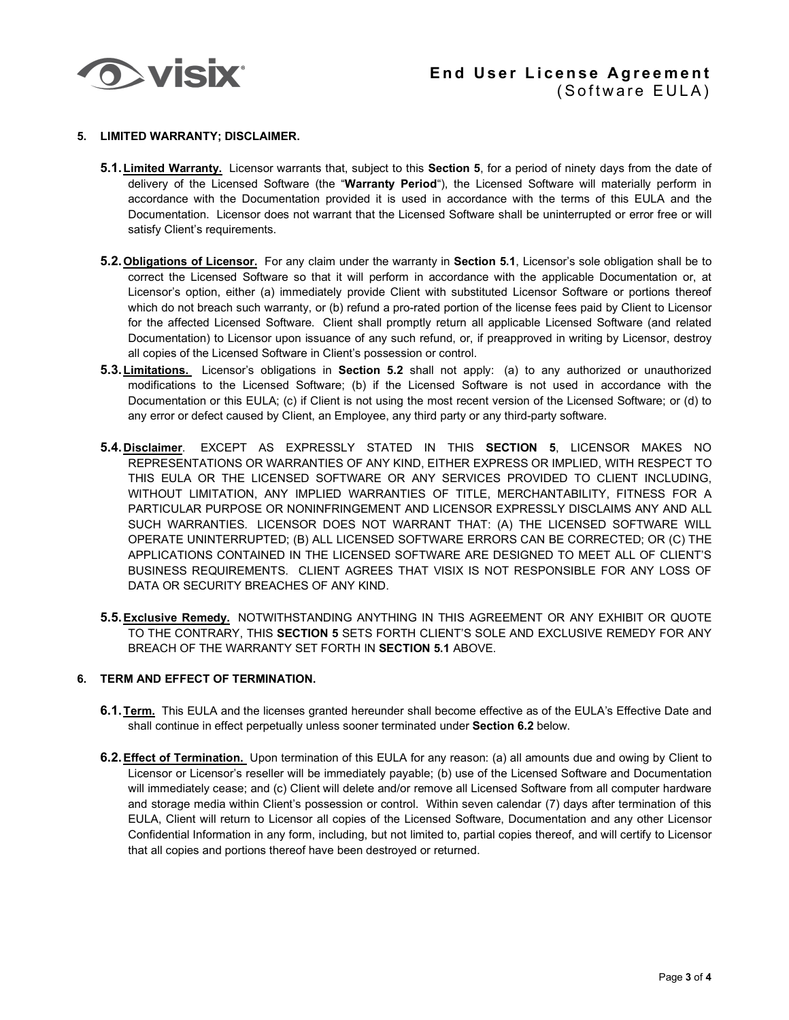

# **End User License Agreement** (Software EULA)

#### **5. LIMITED WARRANTY; DISCLAIMER.**

- **5.1.Limited Warranty.** Licensor warrants that, subject to this **Section 5**, for a period of ninety days from the date of delivery of the Licensed Software (the "**Warranty Period**"), the Licensed Software will materially perform in accordance with the Documentation provided it is used in accordance with the terms of this EULA and the Documentation. Licensor does not warrant that the Licensed Software shall be uninterrupted or error free or will satisfy Client's requirements.
- **5.2.Obligations of Licensor.** For any claim under the warranty in **Section 5.1**, Licensor's sole obligation shall be to correct the Licensed Software so that it will perform in accordance with the applicable Documentation or, at Licensor's option, either (a) immediately provide Client with substituted Licensor Software or portions thereof which do not breach such warranty, or (b) refund a pro-rated portion of the license fees paid by Client to Licensor for the affected Licensed Software. Client shall promptly return all applicable Licensed Software (and related Documentation) to Licensor upon issuance of any such refund, or, if preapproved in writing by Licensor, destroy all copies of the Licensed Software in Client's possession or control.
- **5.3.Limitations.** Licensor's obligations in **Section 5.2** shall not apply: (a) to any authorized or unauthorized modifications to the Licensed Software; (b) if the Licensed Software is not used in accordance with the Documentation or this EULA; (c) if Client is not using the most recent version of the Licensed Software; or (d) to any error or defect caused by Client, an Employee, any third party or any third-party software.
- **5.4.Disclaimer**. EXCEPT AS EXPRESSLY STATED IN THIS **SECTION 5**, LICENSOR MAKES NO REPRESENTATIONS OR WARRANTIES OF ANY KIND, EITHER EXPRESS OR IMPLIED, WITH RESPECT TO THIS EULA OR THE LICENSED SOFTWARE OR ANY SERVICES PROVIDED TO CLIENT INCLUDING, WITHOUT LIMITATION, ANY IMPLIED WARRANTIES OF TITLE, MERCHANTABILITY, FITNESS FOR A PARTICULAR PURPOSE OR NONINFRINGEMENT AND LICENSOR EXPRESSLY DISCLAIMS ANY AND ALL SUCH WARRANTIES. LICENSOR DOES NOT WARRANT THAT: (A) THE LICENSED SOFTWARE WILL OPERATE UNINTERRUPTED; (B) ALL LICENSED SOFTWARE ERRORS CAN BE CORRECTED; OR (C) THE APPLICATIONS CONTAINED IN THE LICENSED SOFTWARE ARE DESIGNED TO MEET ALL OF CLIENT'S BUSINESS REQUIREMENTS. CLIENT AGREES THAT VISIX IS NOT RESPONSIBLE FOR ANY LOSS OF DATA OR SECURITY BREACHES OF ANY KIND.
- **5.5.Exclusive Remedy.** NOTWITHSTANDING ANYTHING IN THIS AGREEMENT OR ANY EXHIBIT OR QUOTE TO THE CONTRARY, THIS **SECTION 5** SETS FORTH CLIENT'S SOLE AND EXCLUSIVE REMEDY FOR ANY BREACH OF THE WARRANTY SET FORTH IN **SECTION 5.1** ABOVE.

### **6. TERM AND EFFECT OF TERMINATION.**

- **6.1.Term.** This EULA and the licenses granted hereunder shall become effective as of the EULA's Effective Date and shall continue in effect perpetually unless sooner terminated under **Section 6.2** below.
- **6.2.Effect of Termination.** Upon termination of this EULA for any reason: (a) all amounts due and owing by Client to Licensor or Licensor's reseller will be immediately payable; (b) use of the Licensed Software and Documentation will immediately cease; and (c) Client will delete and/or remove all Licensed Software from all computer hardware and storage media within Client's possession or control. Within seven calendar (7) days after termination of this EULA, Client will return to Licensor all copies of the Licensed Software, Documentation and any other Licensor Confidential Information in any form, including, but not limited to, partial copies thereof, and will certify to Licensor that all copies and portions thereof have been destroyed or returned.